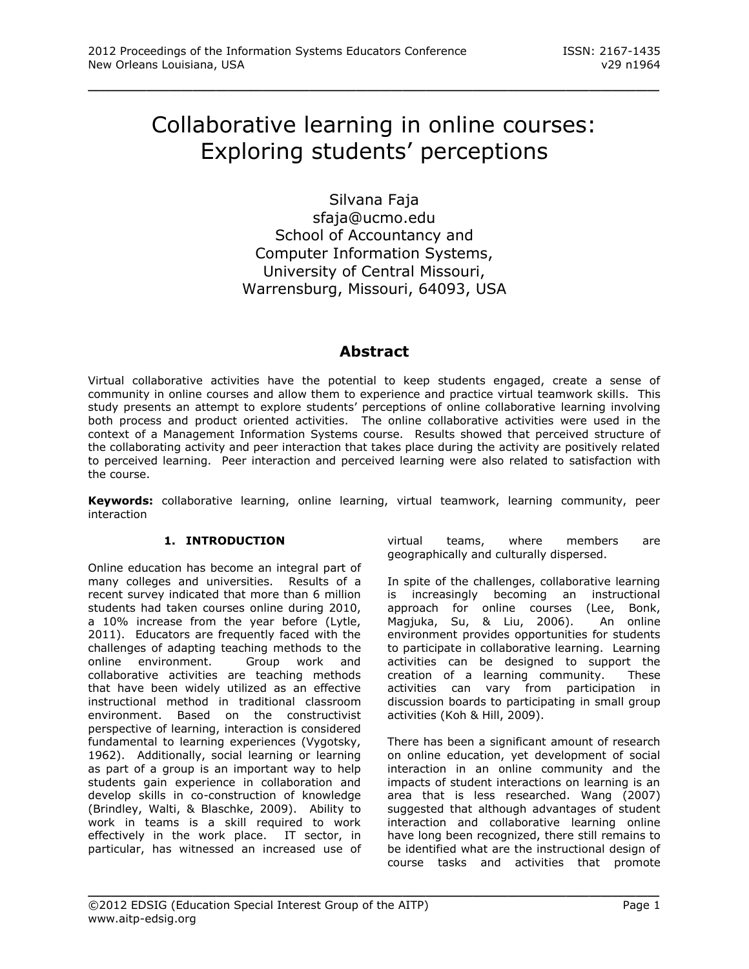# Collaborative learning in online courses: Exploring students' perceptions

\_\_\_\_\_\_\_\_\_\_\_\_\_\_\_\_\_\_\_\_\_\_\_\_\_\_\_\_\_\_\_\_\_\_\_\_\_\_\_\_\_\_\_\_\_\_\_\_\_

Silvana Faja [sfaja@ucmo.edu](mailto:sfaja@ucmo.edu) School of Accountancy and Computer Information Systems, University of Central Missouri, Warrensburg, Missouri, 64093, USA

# **Abstract**

Virtual collaborative activities have the potential to keep students engaged, create a sense of community in online courses and allow them to experience and practice virtual teamwork skills. This study presents an attempt to explore students' perceptions of online collaborative learning involving both process and product oriented activities. The online collaborative activities were used in the context of a Management Information Systems course. Results showed that perceived structure of the collaborating activity and peer interaction that takes place during the activity are positively related to perceived learning. Peer interaction and perceived learning were also related to satisfaction with the course.

**Keywords:** collaborative learning, online learning, virtual teamwork, learning community, peer interaction

\_\_\_\_\_\_\_\_\_\_\_\_\_\_\_\_\_\_\_\_\_\_\_\_\_\_\_\_\_\_\_\_\_\_\_\_\_\_\_\_\_\_\_\_\_\_\_\_\_

# **1. INTRODUCTION**

Online education has become an integral part of many colleges and universities. Results of a recent survey indicated that more than 6 million students had taken courses online during 2010, a 10% increase from the year before (Lytle, 2011). Educators are frequently faced with the challenges of adapting teaching methods to the online environment. Group work and collaborative activities are teaching methods that have been widely utilized as an effective instructional method in traditional classroom environment. Based on the constructivist perspective of learning, interaction is considered fundamental to learning experiences (Vygotsky, 1962). Additionally, social learning or learning as part of a group is an important way to help students gain experience in collaboration and develop skills in co-construction of knowledge (Brindley, Walti, & Blaschke, 2009). Ability to work in teams is a skill required to work effectively in the work place. IT sector, in particular, has witnessed an increased use of

virtual teams, where members are geographically and culturally dispersed.

In spite of the challenges, collaborative learning is increasingly becoming an instructional approach for online courses (Lee, Bonk, Magjuka, Su, & Liu, 2006). An online environment provides opportunities for students to participate in collaborative learning. Learning activities can be designed to support the creation of a learning community. These activities can vary from participation in discussion boards to participating in small group activities (Koh & Hill, 2009).

There has been a significant amount of research on online education, yet development of social interaction in an online community and the impacts of student interactions on learning is an area that is less researched. Wang (2007) suggested that although advantages of student interaction and collaborative learning online have long been recognized, there still remains to be identified what are the instructional design of course tasks and activities that promote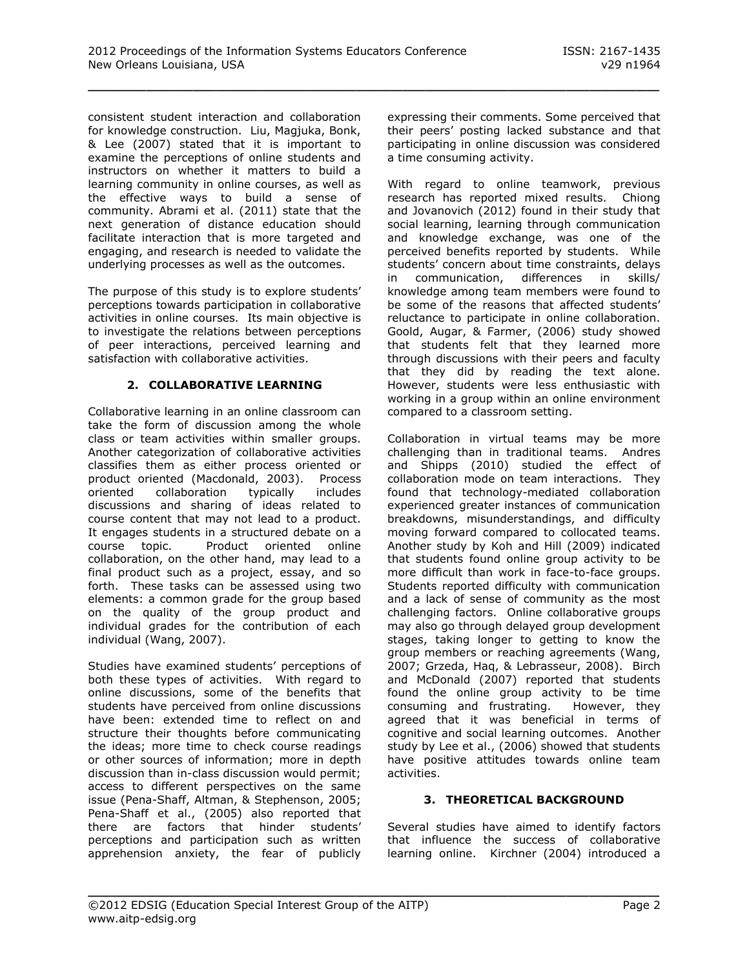consistent student interaction and collaboration for knowledge construction. Liu, Magjuka, Bonk, & Lee (2007) stated that it is important to examine the perceptions of online students and instructors on whether it matters to build a learning community in online courses, as well as the effective ways to build a sense of community. Abrami et al. (2011) state that the next generation of distance education should facilitate interaction that is more targeted and engaging, and research is needed to validate the underlying processes as well as the outcomes.

The purpose of this study is to explore students' perceptions towards participation in collaborative activities in online courses. Its main objective is to investigate the relations between perceptions of peer interactions, perceived learning and satisfaction with collaborative activities.

# **2. COLLABORATIVE LEARNING**

Collaborative learning in an online classroom can take the form of discussion among the whole class or team activities within smaller groups. Another categorization of collaborative activities classifies them as either process oriented or product oriented (Macdonald, 2003). Process<br>oriented collaboration typically includes oriented collaboration typically includes discussions and sharing of ideas related to course content that may not lead to a product. It engages students in a structured debate on a course topic. Product oriented online collaboration, on the other hand, may lead to a final product such as a project, essay, and so forth. These tasks can be assessed using two elements: a common grade for the group based on the quality of the group product and individual grades for the contribution of each individual (Wang, 2007).

Studies have examined students' perceptions of both these types of activities. With regard to online discussions, some of the benefits that students have perceived from online discussions have been: extended time to reflect on and structure their thoughts before communicating the ideas; more time to check course readings or other sources of information; more in depth discussion than in-class discussion would permit; access to different perspectives on the same issue (Pena-Shaff, Altman, & Stephenson, 2005; Pena-Shaff et al., (2005) also reported that there are factors that hinder students' perceptions and participation such as written apprehension anxiety, the fear of publicly expressing their comments. Some perceived that their peers' posting lacked substance and that participating in online discussion was considered a time consuming activity.

With regard to online teamwork, previous research has reported mixed results. Chiong and Jovanovich (2012) found in their study that social learning, learning through communication and knowledge exchange, was one of the perceived benefits reported by students. While students' concern about time constraints, delays in communication, differences in skills/ knowledge among team members were found to be some of the reasons that affected students' reluctance to participate in online collaboration. Goold, Augar, & Farmer, (2006) study showed that students felt that they learned more through discussions with their peers and faculty that they did by reading the text alone. However, students were less enthusiastic with working in a group within an online environment compared to a classroom setting.

Collaboration in virtual teams may be more challenging than in traditional teams. Andres and Shipps (2010) studied the effect of collaboration mode on team interactions. They found that technology-mediated collaboration experienced greater instances of communication breakdowns, misunderstandings, and difficulty moving forward compared to collocated teams. Another study by Koh and Hill (2009) indicated that students found online group activity to be more difficult than work in face-to-face groups. Students reported difficulty with communication and a lack of sense of community as the most challenging factors. Online collaborative groups may also go through delayed group development stages, taking longer to getting to know the group members or reaching agreements (Wang, 2007; Grzeda, Haq, & Lebrasseur, 2008). Birch and McDonald (2007) reported that students found the online group activity to be time consuming and frustrating. However, they agreed that it was beneficial in terms of cognitive and social learning outcomes. Another study by Lee et al., (2006) showed that students have positive attitudes towards online team activities.

# **3. THEORETICAL BACKGROUND**

Several studies have aimed to identify factors that influence the success of collaborative learning online. Kirchner (2004) introduced a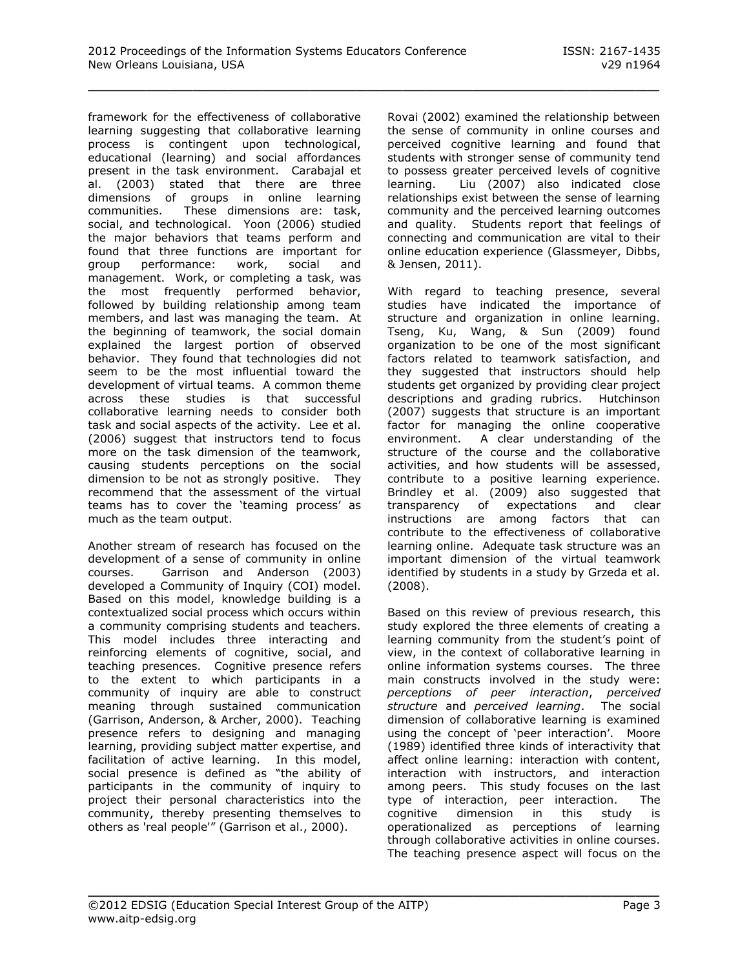framework for the effectiveness of collaborative learning suggesting that collaborative learning process is contingent upon technological, educational (learning) and social affordances present in the task environment. Carabajal et al. (2003) stated that there are three dimensions of groups in online learning communities. These dimensions are: task, social, and technological. Yoon (2006) studied the major behaviors that teams perform and found that three functions are important for group performance: work, social and management. Work, or completing a task, was the most frequently performed behavior, followed by building relationship among team members, and last was managing the team. At the beginning of teamwork, the social domain explained the largest portion of observed behavior. They found that technologies did not seem to be the most influential toward the development of virtual teams. A common theme across these studies is that successful collaborative learning needs to consider both task and social aspects of the activity. Lee et al. (2006) suggest that instructors tend to focus more on the task dimension of the teamwork, causing students perceptions on the social dimension to be not as strongly positive. They recommend that the assessment of the virtual teams has to cover the 'teaming process' as much as the team output.

Another stream of research has focused on the development of a sense of community in online courses. Garrison and Anderson (2003) developed a Community of Inquiry (COI) model. Based on this model, knowledge building is a contextualized social process which occurs within a community comprising students and teachers. This model includes three interacting and reinforcing elements of cognitive, social, and teaching presences. Cognitive presence refers to the extent to which participants in a community of inquiry are able to construct meaning through sustained communication (Garrison, Anderson, & Archer, 2000). Teaching presence refers to designing and managing learning, providing subject matter expertise, and facilitation of active learning. In this model, social presence is defined as "the ability of participants in the community of inquiry to project their personal characteristics into the community, thereby presenting themselves to others as 'real people'" (Garrison et al., 2000).

Rovai (2002) examined the relationship between the sense of community in online courses and perceived cognitive learning and found that students with stronger sense of community tend to possess greater perceived levels of cognitive learning. Liu (2007) also indicated close relationships exist between the sense of learning community and the perceived learning outcomes and quality. Students report that feelings of connecting and communication are vital to their online education experience (Glassmeyer, Dibbs, & Jensen, 2011).

With regard to teaching presence, several studies have indicated the importance of structure and organization in online learning. Tseng, Ku, Wang, & Sun (2009) found organization to be one of the most significant factors related to teamwork satisfaction, and they suggested that instructors should help students get organized by providing clear project descriptions and grading rubrics. Hutchinson (2007) suggests that structure is an important factor for managing the online cooperative environment. A clear understanding of the structure of the course and the collaborative activities, and how students will be assessed, contribute to a positive learning experience. Brindley et al. (2009) also suggested that transparency of expectations and clear instructions are among factors that can contribute to the effectiveness of collaborative learning online. Adequate task structure was an important dimension of the virtual teamwork identified by students in a study by Grzeda et al. (2008).

Based on this review of previous research, this study explored the three elements of creating a learning community from the student's point of view, in the context of collaborative learning in online information systems courses. The three main constructs involved in the study were: *perceptions of peer interaction*, *perceived structure* and *perceived learning*. The social dimension of collaborative learning is examined using the concept of 'peer interaction'. Moore (1989) identified three kinds of interactivity that affect online learning: interaction with content, interaction with instructors, and interaction among peers. This study focuses on the last type of interaction, peer interaction. The cognitive dimension in this study is operationalized as perceptions of learning through collaborative activities in online courses. The teaching presence aspect will focus on the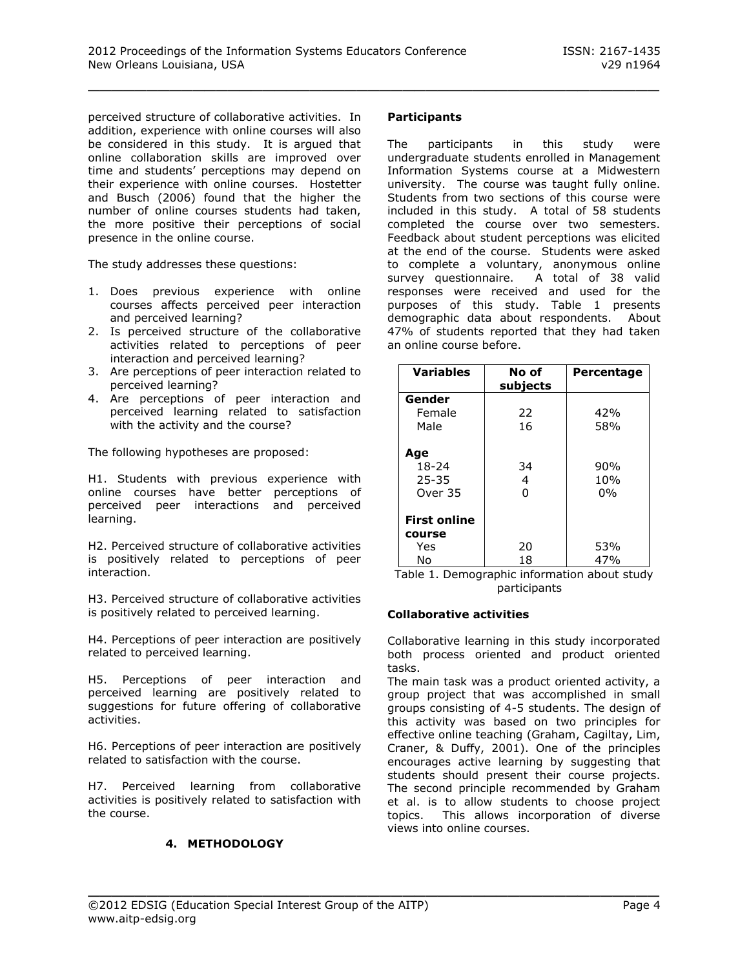perceived structure of collaborative activities. In addition, experience with online courses will also be considered in this study. It is argued that online collaboration skills are improved over time and students' perceptions may depend on their experience with online courses. Hostetter and Busch (2006) found that the higher the number of online courses students had taken, the more positive their perceptions of social presence in the online course.

The study addresses these questions:

- 1. Does previous experience with online courses affects perceived peer interaction and perceived learning?
- 2. Is perceived structure of the collaborative activities related to perceptions of peer interaction and perceived learning?
- 3. Are perceptions of peer interaction related to perceived learning?
- 4. Are perceptions of peer interaction and perceived learning related to satisfaction with the activity and the course?

The following hypotheses are proposed:

H1. Students with previous experience with online courses have better perceptions of perceived peer interactions and perceived learning.

H2. Perceived structure of collaborative activities is positively related to perceptions of peer interaction.

H3. Perceived structure of collaborative activities is positively related to perceived learning.

H4. Perceptions of peer interaction are positively related to perceived learning.

H5. Perceptions of peer interaction and perceived learning are positively related to suggestions for future offering of collaborative activities.

H6. Perceptions of peer interaction are positively related to satisfaction with the course.

H7. Perceived learning from collaborative activities is positively related to satisfaction with the course.

# **4. METHODOLOGY**

#### **Participants**

\_\_\_\_\_\_\_\_\_\_\_\_\_\_\_\_\_\_\_\_\_\_\_\_\_\_\_\_\_\_\_\_\_\_\_\_\_\_\_\_\_\_\_\_\_\_\_\_\_

The participants in this study were undergraduate students enrolled in Management Information Systems course at a Midwestern university. The course was taught fully online. Students from two sections of this course were included in this study. A total of 58 students completed the course over two semesters. Feedback about student perceptions was elicited at the end of the course. Students were asked to complete a voluntary, anonymous online survey questionnaire. A total of 38 valid responses were received and used for the purposes of this study. Table 1 presents demographic data about respondents. About 47% of students reported that they had taken an online course before.

| <b>Variables</b>    | No of<br>subjects | <b>Percentage</b> |
|---------------------|-------------------|-------------------|
| Gender              |                   |                   |
| Female              | 22                | 42%               |
| Male                | 16                | 58%               |
| Age                 |                   |                   |
| $18 - 24$           | 34                | 90%               |
| $25 - 35$           | 4                 | 10%               |
| Over 35             | ŋ                 | 0%                |
| <b>First online</b> |                   |                   |
| course              |                   |                   |
| Yes                 | 20                | 53%               |
| No                  | 18                | 47%               |

Table 1. Demographic information about study participants

#### **Collaborative activities**

Collaborative learning in this study incorporated both process oriented and product oriented tasks.

The main task was a product oriented activity, a group project that was accomplished in small groups consisting of 4-5 students. The design of this activity was based on two principles for effective online teaching (Graham, Cagiltay, Lim, Craner, & Duffy, 2001). One of the principles encourages active learning by suggesting that students should present their course projects. The second principle recommended by Graham et al. is to allow students to choose project topics. This allows incorporation of diverse views into online courses.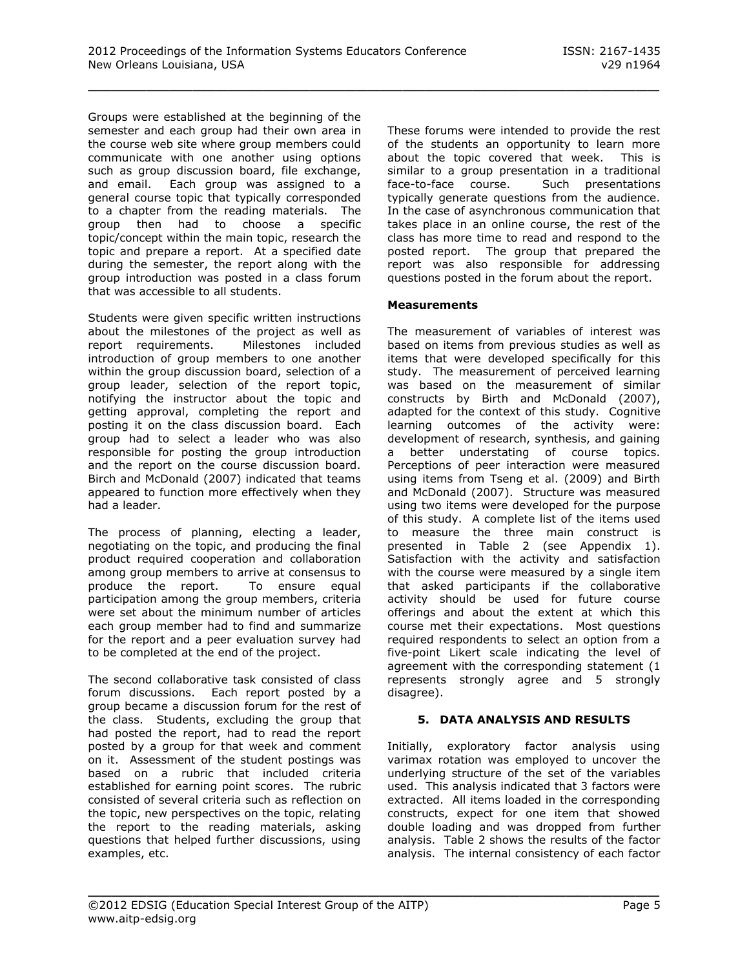Groups were established at the beginning of the semester and each group had their own area in the course web site where group members could communicate with one another using options such as group discussion board, file exchange, and email. Each group was assigned to a general course topic that typically corresponded to a chapter from the reading materials. The group then had to choose a specific topic/concept within the main topic, research the topic and prepare a report. At a specified date during the semester, the report along with the group introduction was posted in a class forum that was accessible to all students.

Students were given specific written instructions about the milestones of the project as well as report requirements. Milestones included introduction of group members to one another within the group discussion board, selection of a group leader, selection of the report topic, notifying the instructor about the topic and getting approval, completing the report and posting it on the class discussion board. Each group had to select a leader who was also responsible for posting the group introduction and the report on the course discussion board. Birch and McDonald (2007) indicated that teams appeared to function more effectively when they had a leader.

The process of planning, electing a leader, negotiating on the topic, and producing the final product required cooperation and collaboration among group members to arrive at consensus to produce the report. To ensure equal participation among the group members, criteria were set about the minimum number of articles each group member had to find and summarize for the report and a peer evaluation survey had to be completed at the end of the project.

The second collaborative task consisted of class forum discussions. Each report posted by a group became a discussion forum for the rest of the class. Students, excluding the group that had posted the report, had to read the report posted by a group for that week and comment on it. Assessment of the student postings was based on a rubric that included criteria established for earning point scores. The rubric consisted of several criteria such as reflection on the topic, new perspectives on the topic, relating the report to the reading materials, asking questions that helped further discussions, using examples, etc.

These forums were intended to provide the rest of the students an opportunity to learn more about the topic covered that week. This is similar to a group presentation in a traditional face-to-face course. Such presentations typically generate questions from the audience. In the case of asynchronous communication that takes place in an online course, the rest of the class has more time to read and respond to the posted report. The group that prepared the report was also responsible for addressing questions posted in the forum about the report.

# **Measurements**

The measurement of variables of interest was based on items from previous studies as well as items that were developed specifically for this study. The measurement of perceived learning was based on the measurement of similar constructs by Birth and McDonald (2007), adapted for the context of this study. Cognitive learning outcomes of the activity were: development of research, synthesis, and gaining a better understating of course topics. Perceptions of peer interaction were measured using items from Tseng et al. (2009) and Birth and McDonald (2007). Structure was measured using two items were developed for the purpose of this study. A complete list of the items used to measure the three main construct is presented in Table 2 (see Appendix 1). Satisfaction with the activity and satisfaction with the course were measured by a single item that asked participants if the collaborative activity should be used for future course offerings and about the extent at which this course met their expectations. Most questions required respondents to select an option from a five-point Likert scale indicating the level of agreement with the corresponding statement (1 represents strongly agree and 5 strongly disagree).

# **5. DATA ANALYSIS AND RESULTS**

Initially, exploratory factor analysis using varimax rotation was employed to uncover the underlying structure of the set of the variables used. This analysis indicated that 3 factors were extracted. All items loaded in the corresponding constructs, expect for one item that showed double loading and was dropped from further analysis. Table 2 shows the results of the factor analysis. The internal consistency of each factor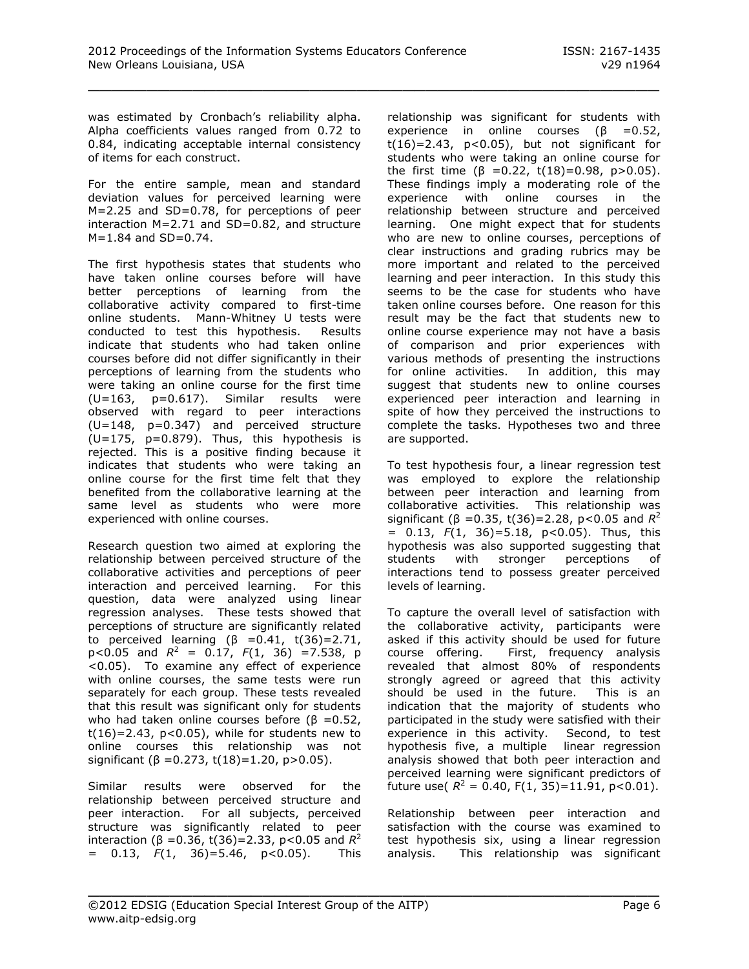was estimated by Cronbach's reliability alpha. Alpha coefficients values ranged from 0.72 to 0.84, indicating acceptable internal consistency of items for each construct.

For the entire sample, mean and standard deviation values for perceived learning were M=2.25 and SD=0.78, for perceptions of peer interaction M=2.71 and SD=0.82, and structure  $M=1.84$  and  $SD=0.74$ .

The first hypothesis states that students who have taken online courses before will have better perceptions of learning from the collaborative activity compared to first-time online students. Mann-Whitney U tests were conducted to test this hypothesis. Results indicate that students who had taken online courses before did not differ significantly in their perceptions of learning from the students who were taking an online course for the first time  $(U=163, p=0.617)$ . Similar results were observed with regard to peer interactions (U=148, p=0.347) and perceived structure  $(U=175, p=0.879)$ . Thus, this hypothesis is rejected. This is a positive finding because it indicates that students who were taking an online course for the first time felt that they benefited from the collaborative learning at the same level as students who were more experienced with online courses.

Research question two aimed at exploring the relationship between perceived structure of the collaborative activities and perceptions of peer interaction and perceived learning. For this question, data were analyzed using linear regression analyses. These tests showed that perceptions of structure are significantly related to perceived learning (β =0.41, t(36)=2.71,  $p < 0.05$  and  $R^2 = 0.17$ ,  $F(1, 36) = 7.538$ , p <0.05). To examine any effect of experience with online courses, the same tests were run separately for each group. These tests revealed that this result was significant only for students who had taken online courses before ( $\beta = 0.52$ ,  $t(16)=2.43$ ,  $p<0.05$ ), while for students new to online courses this relationship was not significant ( $\beta$  = 0.273, t(18)=1.20, p>0.05).

Similar results were observed for the relationship between perceived structure and peer interaction. For all subjects, perceived structure was significantly related to peer interaction (β = 0.36, t(36) = 2.33, p< 0.05 and  $R^2$ = 0.13, *F*(1, 36)=5.46, p<0.05). This relationship was significant for students with experience in online courses ( $\beta$  =0.52,  $t(16)=2.43$ ,  $p<0.05$ ), but not significant for students who were taking an online course for the first time (β = 0.22, t(18)= 0.98, p > 0.05). These findings imply a moderating role of the experience with online courses in the relationship between structure and perceived learning. One might expect that for students who are new to online courses, perceptions of clear instructions and grading rubrics may be more important and related to the perceived learning and peer interaction. In this study this seems to be the case for students who have taken online courses before. One reason for this result may be the fact that students new to online course experience may not have a basis of comparison and prior experiences with various methods of presenting the instructions for online activities. In addition, this may suggest that students new to online courses experienced peer interaction and learning in spite of how they perceived the instructions to complete the tasks. Hypotheses two and three are supported.

To test hypothesis four, a linear regression test was employed to explore the relationship between peer interaction and learning from collaborative activities. This relationship was significant ( $\beta$  =0.35, t(36)=2.28, p<0.05 and  $R^2$ = 0.13, *F*(1, 36)=5.18, p<0.05). Thus, this hypothesis was also supported suggesting that students with stronger perceptions of interactions tend to possess greater perceived levels of learning.

To capture the overall level of satisfaction with the collaborative activity, participants were asked if this activity should be used for future course offering. First, frequency analysis revealed that almost 80% of respondents strongly agreed or agreed that this activity should be used in the future. This is an indication that the majority of students who participated in the study were satisfied with their experience in this activity. Second, to test hypothesis five, a multiple linear regression analysis showed that both peer interaction and perceived learning were significant predictors of future use( $R^2 = 0.40$ , F(1, 35)=11.91, p<0.01).

Relationship between peer interaction and satisfaction with the course was examined to test hypothesis six, using a linear regression analysis. This relationship was significant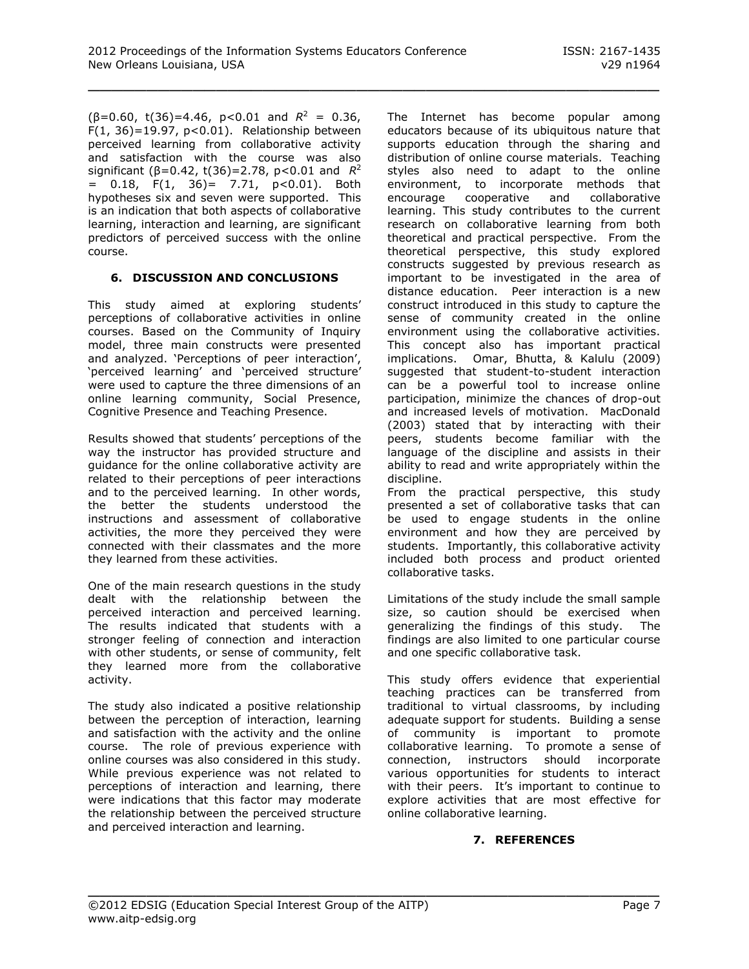$(\beta = 0.60, t(36) = 4.46, p < 0.01$  and  $R^2 = 0.36$ ,  $F(1, 36) = 19.97$ , p<0.01). Relationship between perceived learning from collaborative activity and satisfaction with the course was also significant (β=0.42, t(36)=2.78, p<0.01 and *R* 2  $= 0.18$ ,  $F(1, 36) = 7.71$ ,  $p < 0.01$ ). Both hypotheses six and seven were supported. This is an indication that both aspects of collaborative learning, interaction and learning, are significant predictors of perceived success with the online course.

#### **6. DISCUSSION AND CONCLUSIONS**

This study aimed at exploring students' perceptions of collaborative activities in online courses. Based on the Community of Inquiry model, three main constructs were presented and analyzed. 'Perceptions of peer interaction', 'perceived learning' and 'perceived structure' were used to capture the three dimensions of an online learning community, Social Presence, Cognitive Presence and Teaching Presence.

Results showed that students' perceptions of the way the instructor has provided structure and guidance for the online collaborative activity are related to their perceptions of peer interactions and to the perceived learning. In other words, the better the students understood the instructions and assessment of collaborative activities, the more they perceived they were connected with their classmates and the more they learned from these activities.

One of the main research questions in the study dealt with the relationship between the perceived interaction and perceived learning. The results indicated that students with a stronger feeling of connection and interaction with other students, or sense of community, felt they learned more from the collaborative activity.

The study also indicated a positive relationship between the perception of interaction, learning and satisfaction with the activity and the online course. The role of previous experience with online courses was also considered in this study. While previous experience was not related to perceptions of interaction and learning, there were indications that this factor may moderate the relationship between the perceived structure and perceived interaction and learning.

The Internet has become popular among educators because of its ubiquitous nature that supports education through the sharing and distribution of online course materials. Teaching styles also need to adapt to the online environment, to incorporate methods that encourage cooperative and collaborative learning. This study contributes to the current research on collaborative learning from both theoretical and practical perspective. From the theoretical perspective, this study explored constructs suggested by previous research as important to be investigated in the area of distance education. Peer interaction is a new construct introduced in this study to capture the sense of community created in the online environment using the collaborative activities. This concept also has important practical implications. Omar, Bhutta, & Kalulu (2009) suggested that student-to-student interaction can be a powerful tool to increase online participation, minimize the chances of drop-out and increased levels of motivation. MacDonald (2003) stated that by interacting with their peers, students become familiar with the language of the discipline and assists in their ability to read and write appropriately within the discipline.

From the practical perspective, this study presented a set of collaborative tasks that can be used to engage students in the online environment and how they are perceived by students. Importantly, this collaborative activity included both process and product oriented collaborative tasks.

Limitations of the study include the small sample size, so caution should be exercised when generalizing the findings of this study. The findings are also limited to one particular course and one specific collaborative task.

This study offers evidence that experiential teaching practices can be transferred from traditional to virtual classrooms, by including adequate support for students. Building a sense of community is important to promote collaborative learning. To promote a sense of connection, instructors should incorporate various opportunities for students to interact with their peers. It's important to continue to explore activities that are most effective for online collaborative learning.

# **7. REFERENCES**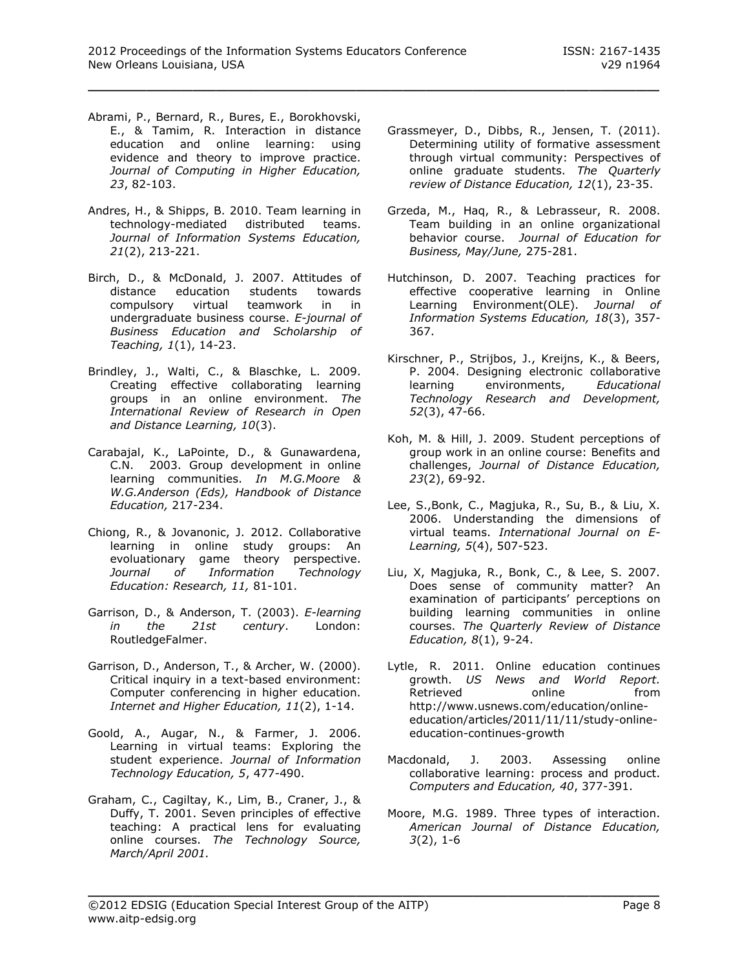- Abrami, P., Bernard, R., Bures, E., Borokhovski, E., & Tamim, R. Interaction in distance education and online learning: using evidence and theory to improve practice. *Journal of Computing in Higher Education, 23*, 82-103.
- Andres, H., & Shipps, B. 2010. Team learning in technology-mediated distributed teams. *Journal of Information Systems Education, 21*(2), 213-221.
- Birch, D., & McDonald, J. 2007. Attitudes of distance education students towards compulsory virtual teamwork in in undergraduate business course. *E-journal of Business Education and Scholarship of Teaching, 1*(1), 14-23.
- Brindley, J., Walti, C., & Blaschke, L. 2009. Creating effective collaborating learning groups in an online environment. *The International Review of Research in Open and Distance Learning, 10*(3).
- Carabajal, K., LaPointe, D., & Gunawardena, C.N. 2003. Group development in online learning communities. *In M.G.Moore & W.G.Anderson (Eds), Handbook of Distance Education,* 217-234.
- Chiong, R., & Jovanonic, J. 2012. Collaborative learning in online study groups: An evoluationary game theory perspective. *Journal of Information Technology Education: Research, 11,* 81-101.
- Garrison, D., & Anderson, T. (2003). *E-learning in the 21st century*. London: RoutledgeFalmer.
- Garrison, D., Anderson, T., & Archer, W. (2000). Critical inquiry in a text-based environment: Computer conferencing in higher education. *Internet and Higher Education, 11*(2), 1-14.
- Goold, A., Augar, N., & Farmer, J. 2006. Learning in virtual teams: Exploring the student experience. *Journal of Information Technology Education, 5*, 477-490.
- Graham, C., Cagiltay, K., Lim, B., Craner, J., & Duffy, T. 2001. Seven principles of effective teaching: A practical lens for evaluating online courses. *The Technology Source, March/April 2001.*
- Grassmeyer, D., Dibbs, R., Jensen, T. (2011). Determining utility of formative assessment through virtual community: Perspectives of online graduate students. *The Quarterly review of Distance Education, 12*(1), 23-35.
- Grzeda, M., Haq, R., & Lebrasseur, R. 2008. Team building in an online organizational behavior course. *Journal of Education for Business, May/June,* 275-281.
- Hutchinson, D. 2007. Teaching practices for effective cooperative learning in Online Learning Environment(OLE). *Journal of Information Systems Education, 18*(3), 357- 367.
- Kirschner, P., Strijbos, J., Kreijns, K., & Beers, P. 2004. Designing electronic collaborative learning environments, *Educational Technology Research and Development, 52*(3), 47-66.
- Koh, M. & Hill, J. 2009. Student perceptions of group work in an online course: Benefits and challenges, *Journal of Distance Education, 23*(2), 69-92.
- Lee, S.,Bonk, C., Magjuka, R., Su, B., & Liu, X. 2006. Understanding the dimensions of virtual teams. *International Journal on E-Learning, 5*(4), 507-523.
- Liu, X, Magjuka, R., Bonk, C., & Lee, S. 2007. Does sense of community matter? An examination of participants' perceptions on building learning communities in online courses. *The Quarterly Review of Distance Education, 8*(1), 9-24.
- Lytle, R. 2011. Online education continues growth. *US News and World Report.*  Retrieved online from http://www.usnews.com/education/onlineeducation/articles/2011/11/11/study-onlineeducation-continues-growth
- Macdonald, J. 2003. Assessing online collaborative learning: process and product. *Computers and Education, 40*, 377-391.
- Moore, M.G. 1989. Three types of interaction. *American Journal of Distance Education, 3*(2), 1-6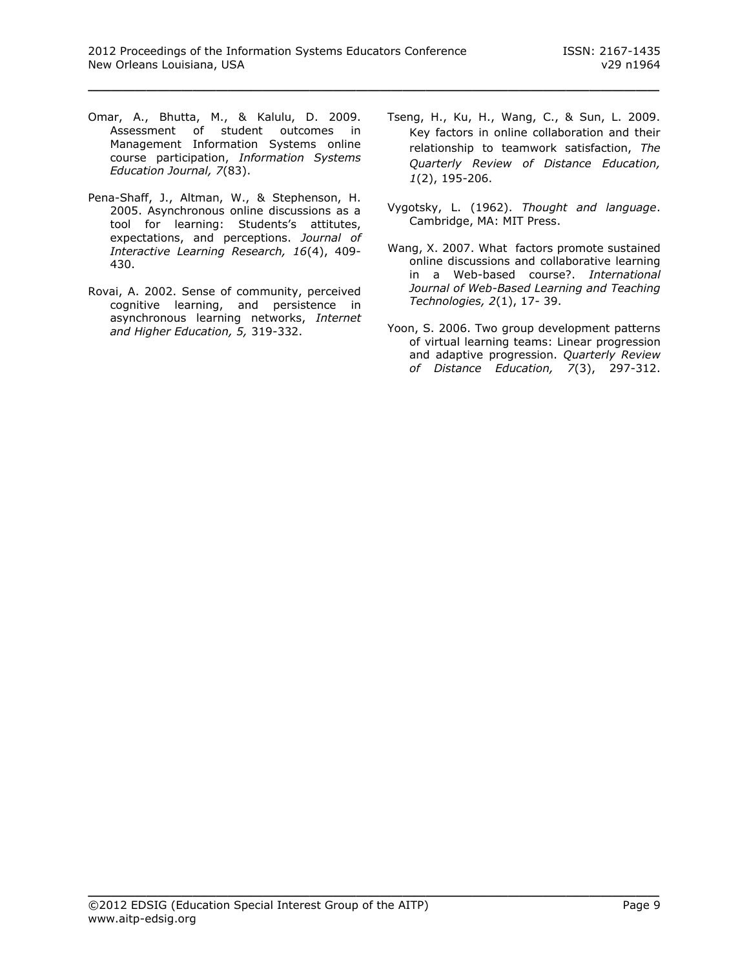- Omar, A., Bhutta, M., & Kalulu, D. 2009. Assessment of student outcomes in Management Information Systems online course participation, *Information Systems Education Journal, 7*(83).
- Pena-Shaff, J., Altman, W., & Stephenson, H. 2005. Asynchronous online discussions as a tool for learning: Students's attitutes, expectations, and perceptions. *Journal of Interactive Learning Research, 16*(4), 409- 430.
- Rovai, A. 2002. Sense of community, perceived cognitive learning, and persistence in asynchronous learning networks, *Internet and Higher Education, 5,* 319-332.
- Tseng, H., Ku, H., Wang, C., & Sun, L. 2009. Key factors in online collaboration and their relationship to teamwork satisfaction, *The Quarterly Review of Distance Education, 1*(2), 195-206.
- Vygotsky, L. (1962). *Thought and language*. Cambridge, MA: MIT Press.
- Wang, X. 2007. What factors promote sustained online discussions and collaborative learning in a Web-based course?. *International Journal of Web-Based Learning and Teaching Technologies, 2*(1), 17- 39.
- Yoon, S. 2006. Two group development patterns of virtual learning teams: Linear progression and adaptive progression. *Quarterly Review of Distance Education, 7*(3), 297-312.